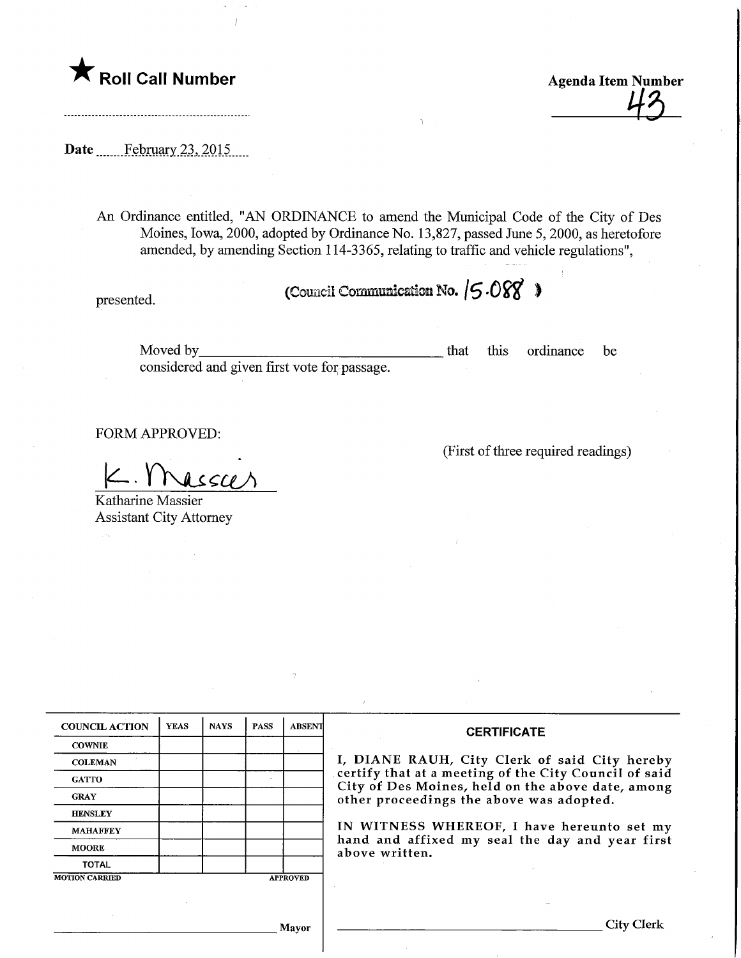

Roll Call Number  $\mathcal{A}_{\mathcal{B}}$ <br>Agenda Item Number  $\mathcal{A}_{\mathcal{B}}$ 

(First of three required readings)

Date ........February.23^201.5.

An Ordinance entitled, "AN ORDINANCE to amend the Municipal Code of the City of Des Moines, Iowa, 2000, adopted by Ordinance No. 13,827, passed June 5, 2000, as heretofore amended, by amending Section 1 14-3365, relating to traffic and vehicle regulations",

presented.

(Council Communication No.  $/5.088$ )

Moved by\_ considered and given first vote for passage. that this ordinance be

FORM APPROVED:

 $K$ . Massar

Katharine Massier Assistant City Attorney

| <b>COUNCIL ACTION</b> | <b>YEAS</b> | <b>NAYS</b> | <b>PASS</b> | <b>ABSENT</b>   | <b>CERTIFICATE</b>                                                                                                                                                                                      |  |  |
|-----------------------|-------------|-------------|-------------|-----------------|---------------------------------------------------------------------------------------------------------------------------------------------------------------------------------------------------------|--|--|
| <b>COWNIE</b>         |             |             |             |                 |                                                                                                                                                                                                         |  |  |
| <b>COLEMAN</b>        |             |             |             |                 | I, DIANE RAUH, City Clerk of said City hereby<br>certify that at a meeting of the City Council of said<br>City of Des Moines, held on the above date, among<br>other proceedings the above was adopted. |  |  |
| <b>GATTO</b>          |             |             |             |                 |                                                                                                                                                                                                         |  |  |
| <b>GRAY</b>           |             |             |             |                 |                                                                                                                                                                                                         |  |  |
| <b>HENSLEY</b>        |             |             |             |                 |                                                                                                                                                                                                         |  |  |
| <b>MAHAFFEY</b>       |             |             |             |                 | IN WITNESS WHEREOF, I have hereunto set my<br>hand and affixed my seal the day and year first<br>above written.                                                                                         |  |  |
| <b>MOORE</b>          |             |             |             |                 |                                                                                                                                                                                                         |  |  |
| <b>TOTAL</b>          |             |             |             |                 |                                                                                                                                                                                                         |  |  |
| <b>MOTION CARRIED</b> |             |             |             | <b>APPROVED</b> |                                                                                                                                                                                                         |  |  |
|                       |             |             |             |                 |                                                                                                                                                                                                         |  |  |
|                       |             |             |             | Mayor           |                                                                                                                                                                                                         |  |  |